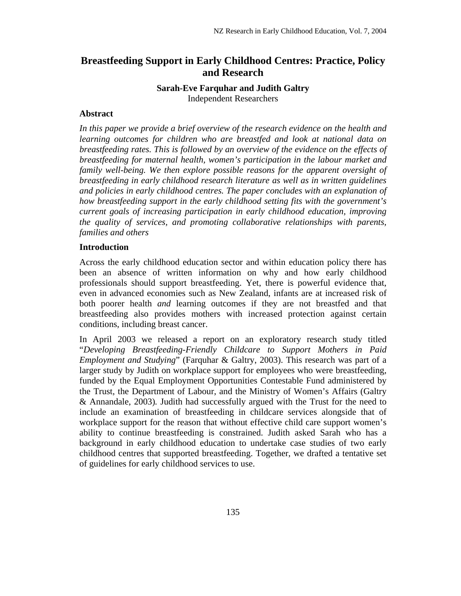# **Breastfeeding Support in Early Childhood Centres: Practice, Policy and Research**

# **Sarah-Eve Farquhar and Judith Galtry**  Independent Researchers

# **Abstract**

*In this paper we provide a brief overview of the research evidence on the health and learning outcomes for children who are breastfed and look at national data on breastfeeding rates. This is followed by an overview of the evidence on the effects of breastfeeding for maternal health, women's participation in the labour market and family well-being. We then explore possible reasons for the apparent oversight of breastfeeding in early childhood research literature as well as in written guidelines and policies in early childhood centres. The paper concludes with an explanation of how breastfeeding support in the early childhood setting fits with the government's current goals of increasing participation in early childhood education, improving the quality of services, and promoting collaborative relationships with parents, families and others* 

# **Introduction**

Across the early childhood education sector and within education policy there has been an absence of written information on why and how early childhood professionals should support breastfeeding. Yet, there is powerful evidence that, even in advanced economies such as New Zealand, infants are at increased risk of both poorer health *and* learning outcomes if they are not breastfed and that breastfeeding also provides mothers with increased protection against certain conditions, including breast cancer.

In April 2003 we released a report on an exploratory research study titled "*Developing Breastfeeding-Friendly Childcare to Support Mothers in Paid Employment and Studying*" (Farquhar & Galtry, 2003). This research was part of a larger study by Judith on workplace support for employees who were breastfeeding, funded by the Equal Employment Opportunities Contestable Fund administered by the Trust, the Department of Labour, and the Ministry of Women's Affairs (Galtry & Annandale, 2003)*.* Judith had successfully argued with the Trust for the need to include an examination of breastfeeding in childcare services alongside that of workplace support for the reason that without effective child care support women's ability to continue breastfeeding is constrained. Judith asked Sarah who has a background in early childhood education to undertake case studies of two early childhood centres that supported breastfeeding. Together, we drafted a tentative set of guidelines for early childhood services to use.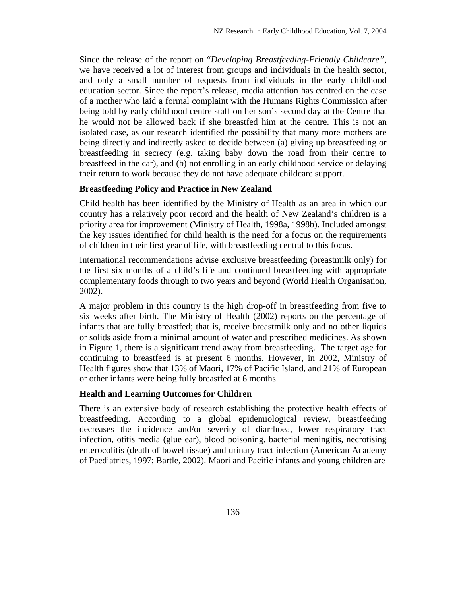Since the release of the report on "*Developing Breastfeeding-Friendly Childcare"*, we have received a lot of interest from groups and individuals in the health sector, and only a small number of requests from individuals in the early childhood education sector. Since the report's release, media attention has centred on the case of a mother who laid a formal complaint with the Humans Rights Commission after being told by early childhood centre staff on her son's second day at the Centre that he would not be allowed back if she breastfed him at the centre. This is not an isolated case, as our research identified the possibility that many more mothers are being directly and indirectly asked to decide between (a) giving up breastfeeding or breastfeeding in secrecy (e.g. taking baby down the road from their centre to breastfeed in the car), and (b) not enrolling in an early childhood service or delaying their return to work because they do not have adequate childcare support.

# **Breastfeeding Policy and Practice in New Zealand**

Child health has been identified by the Ministry of Health as an area in which our country has a relatively poor record and the health of New Zealand's children is a priority area for improvement (Ministry of Health, 1998a, 1998b). Included amongst the key issues identified for child health is the need for a focus on the requirements of children in their first year of life, with breastfeeding central to this focus.

International recommendations advise exclusive breastfeeding (breastmilk only) for the first six months of a child's life and continued breastfeeding with appropriate complementary foods through to two years and beyond (World Health Organisation, 2002).

A major problem in this country is the high drop-off in breastfeeding from five to six weeks after birth. The Ministry of Health (2002) reports on the percentage of infants that are fully breastfed; that is, receive breastmilk only and no other liquids or solids aside from a minimal amount of water and prescribed medicines. As shown in Figure 1, there is a significant trend away from breastfeeding. The target age for continuing to breastfeed is at present 6 months. However, in 2002, Ministry of Health figures show that 13% of Maori, 17% of Pacific Island, and 21% of European or other infants were being fully breastfed at 6 months.

# **Health and Learning Outcomes for Children**

There is an extensive body of research establishing the protective health effects of breastfeeding. According to a global epidemiological review, breastfeeding decreases the incidence and/or severity of diarrhoea, lower respiratory tract infection, otitis media (glue ear), blood poisoning, bacterial meningitis, necrotising enterocolitis (death of bowel tissue) and urinary tract infection (American Academy of Paediatrics, 1997; Bartle, 2002). Maori and Pacific infants and young children are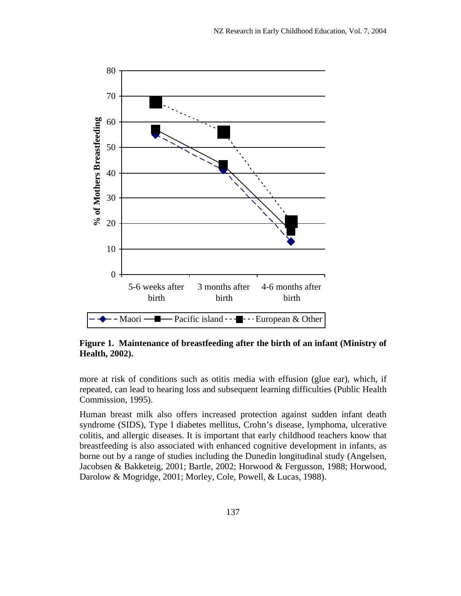

**Figure 1. Maintenance of breastfeeding after the birth of an infant (Ministry of Health, 2002).** 

more at risk of conditions such as otitis media with effusion (glue ear), which, if repeated, can lead to hearing loss and subsequent learning difficulties (Public Health Commission, 1995).

Human breast milk also offers increased protection against sudden infant death syndrome (SIDS), Type I diabetes mellitus, Crohn's disease, lymphoma, ulcerative colitis, and allergic diseases. It is important that early childhood teachers know that breastfeeding is also associated with enhanced cognitive development in infants, as borne out by a range of studies including the Dunedin longitudinal study (Angelsen, Jacobsen & Bakketeig, 2001; Bartle, 2002; Horwood & Fergusson, 1988; Horwood, Darolow & Mogridge, 2001; Morley, Cole, Powell, & Lucas, 1988).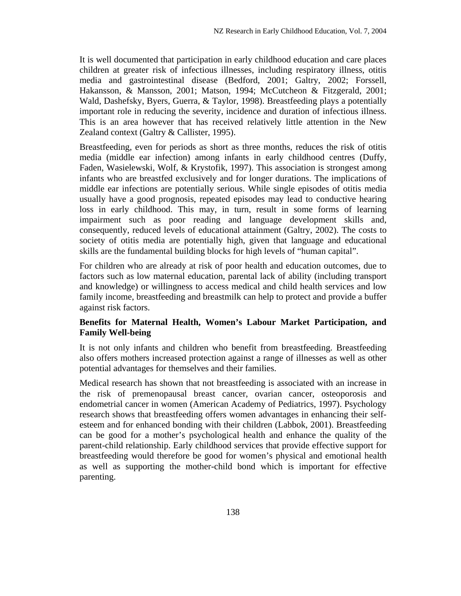It is well documented that participation in early childhood education and care places children at greater risk of infectious illnesses, including respiratory illness, otitis media and gastrointestinal disease (Bedford, 2001; Galtry, 2002; Forssell, Hakansson, & Mansson, 2001; Matson, 1994; McCutcheon & Fitzgerald, 2001; Wald, Dashefsky, Byers, Guerra, & Taylor, 1998). Breastfeeding plays a potentially important role in reducing the severity, incidence and duration of infectious illness. This is an area however that has received relatively little attention in the New Zealand context (Galtry & Callister, 1995).

Breastfeeding, even for periods as short as three months, reduces the risk of otitis media (middle ear infection) among infants in early childhood centres (Duffy, Faden, Wasielewski, Wolf, & Krystofik, 1997). This association is strongest among infants who are breastfed exclusively and for longer durations. The implications of middle ear infections are potentially serious. While single episodes of otitis media usually have a good prognosis, repeated episodes may lead to conductive hearing loss in early childhood. This may, in turn, result in some forms of learning impairment such as poor reading and language development skills and, consequently, reduced levels of educational attainment (Galtry, 2002). The costs to society of otitis media are potentially high, given that language and educational skills are the fundamental building blocks for high levels of "human capital".

For children who are already at risk of poor health and education outcomes, due to factors such as low maternal education, parental lack of ability (including transport and knowledge) or willingness to access medical and child health services and low family income, breastfeeding and breastmilk can help to protect and provide a buffer against risk factors.

# **Benefits for Maternal Health, Women's Labour Market Participation, and Family Well-being**

It is not only infants and children who benefit from breastfeeding. Breastfeeding also offers mothers increased protection against a range of illnesses as well as other potential advantages for themselves and their families.

Medical research has shown that not breastfeeding is associated with an increase in the risk of premenopausal breast cancer, ovarian cancer, osteoporosis and endometrial cancer in women (American Academy of Pediatrics, 1997). Psychology research shows that breastfeeding offers women advantages in enhancing their selfesteem and for enhanced bonding with their children (Labbok, 2001). Breastfeeding can be good for a mother's psychological health and enhance the quality of the parent-child relationship. Early childhood services that provide effective support for breastfeeding would therefore be good for women's physical and emotional health as well as supporting the mother-child bond which is important for effective parenting.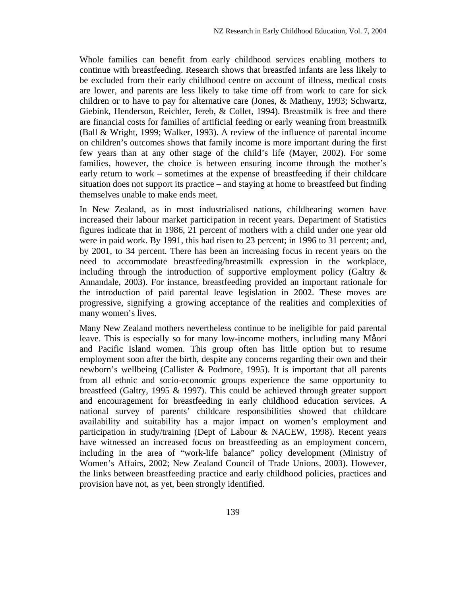Whole families can benefit from early childhood services enabling mothers to continue with breastfeeding. Research shows that breastfed infants are less likely to be excluded from their early childhood centre on account of illness, medical costs are lower, and parents are less likely to take time off from work to care for sick children or to have to pay for alternative care (Jones, & Matheny, 1993; Schwartz, Giebink, Henderson, Reichler, Jereb, & Collet, 1994). Breastmilk is free and there are financial costs for families of artificial feeding or early weaning from breastmilk (Ball & Wright, 1999; Walker, 1993). A review of the influence of parental income on children's outcomes shows that family income is more important during the first few years than at any other stage of the child's life (Mayer, 2002). For some families, however, the choice is between ensuring income through the mother's early return to work – sometimes at the expense of breastfeeding if their childcare situation does not support its practice – and staying at home to breastfeed but finding themselves unable to make ends meet.

In New Zealand, as in most industrialised nations, childbearing women have increased their labour market participation in recent years. Department of Statistics figures indicate that in 1986, 21 percent of mothers with a child under one year old were in paid work. By 1991, this had risen to 23 percent; in 1996 to 31 percent; and, by 2001, to 34 percent. There has been an increasing focus in recent years on the need to accommodate breastfeeding/breastmilk expression in the workplace, including through the introduction of supportive employment policy (Galtry & Annandale, 2003). For instance, breastfeeding provided an important rationale for the introduction of paid parental leave legislation in 2002. These moves are progressive, signifying a growing acceptance of the realities and complexities of many women's lives.

Many New Zealand mothers nevertheless continue to be ineligible for paid parental leave. This is especially so for many low-income mothers, including many Måori and Pacific Island women. This group often has little option but to resume employment soon after the birth, despite any concerns regarding their own and their newborn's wellbeing (Callister & Podmore, 1995). It is important that all parents from all ethnic and socio-economic groups experience the same opportunity to breastfeed (Galtry, 1995 & 1997). This could be achieved through greater support and encouragement for breastfeeding in early childhood education services. A national survey of parents' childcare responsibilities showed that childcare availability and suitability has a major impact on women's employment and participation in study/training (Dept of Labour & NACEW, 1998). Recent years have witnessed an increased focus on breastfeeding as an employment concern, including in the area of "work-life balance" policy development (Ministry of Women's Affairs, 2002; New Zealand Council of Trade Unions, 2003). However, the links between breastfeeding practice and early childhood policies, practices and provision have not, as yet, been strongly identified.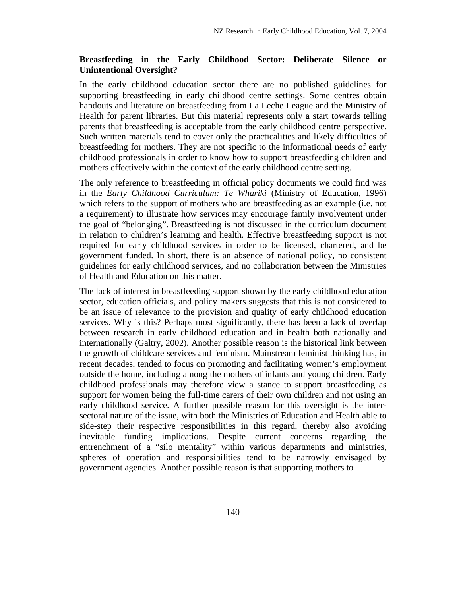#### **Breastfeeding in the Early Childhood Sector: Deliberate Silence or Unintentional Oversight?**

In the early childhood education sector there are no published guidelines for supporting breastfeeding in early childhood centre settings. Some centres obtain handouts and literature on breastfeeding from La Leche League and the Ministry of Health for parent libraries. But this material represents only a start towards telling parents that breastfeeding is acceptable from the early childhood centre perspective. Such written materials tend to cover only the practicalities and likely difficulties of breastfeeding for mothers. They are not specific to the informational needs of early childhood professionals in order to know how to support breastfeeding children and mothers effectively within the context of the early childhood centre setting.

The only reference to breastfeeding in official policy documents we could find was in the *Early Childhood Curriculum: Te Whariki* (Ministry of Education, 1996) which refers to the support of mothers who are breastfeeding as an example (i.e. not a requirement) to illustrate how services may encourage family involvement under the goal of "belonging". Breastfeeding is not discussed in the curriculum document in relation to children's learning and health. Effective breastfeeding support is not required for early childhood services in order to be licensed, chartered, and be government funded. In short, there is an absence of national policy, no consistent guidelines for early childhood services, and no collaboration between the Ministries of Health and Education on this matter.

The lack of interest in breastfeeding support shown by the early childhood education sector, education officials, and policy makers suggests that this is not considered to be an issue of relevance to the provision and quality of early childhood education services. Why is this? Perhaps most significantly, there has been a lack of overlap between research in early childhood education and in health both nationally and internationally (Galtry, 2002). Another possible reason is the historical link between the growth of childcare services and feminism. Mainstream feminist thinking has, in recent decades, tended to focus on promoting and facilitating women's employment outside the home, including among the mothers of infants and young children. Early childhood professionals may therefore view a stance to support breastfeeding as support for women being the full-time carers of their own children and not using an early childhood service. A further possible reason for this oversight is the intersectoral nature of the issue, with both the Ministries of Education and Health able to side-step their respective responsibilities in this regard, thereby also avoiding inevitable funding implications. Despite current concerns regarding the entrenchment of a "silo mentality" within various departments and ministries, spheres of operation and responsibilities tend to be narrowly envisaged by government agencies. Another possible reason is that supporting mothers to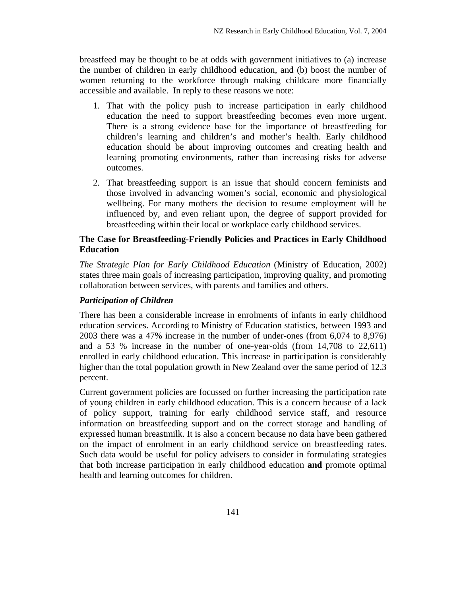breastfeed may be thought to be at odds with government initiatives to (a) increase the number of children in early childhood education, and (b) boost the number of women returning to the workforce through making childcare more financially accessible and available. In reply to these reasons we note:

- 1. That with the policy push to increase participation in early childhood education the need to support breastfeeding becomes even more urgent. There is a strong evidence base for the importance of breastfeeding for children's learning and children's and mother's health. Early childhood education should be about improving outcomes and creating health and learning promoting environments, rather than increasing risks for adverse outcomes.
- 2. That breastfeeding support is an issue that should concern feminists and those involved in advancing women's social, economic and physiological wellbeing. For many mothers the decision to resume employment will be influenced by, and even reliant upon, the degree of support provided for breastfeeding within their local or workplace early childhood services.

#### **The Case for Breastfeeding-Friendly Policies and Practices in Early Childhood Education**

*The Strategic Plan for Early Childhood Education* (Ministry of Education, 2002) states three main goals of increasing participation, improving quality, and promoting collaboration between services, with parents and families and others.

#### *Participation of Children*

There has been a considerable increase in enrolments of infants in early childhood education services. According to Ministry of Education statistics, between 1993 and 2003 there was a 47% increase in the number of under-ones (from 6,074 to 8,976) and a 53 % increase in the number of one-year-olds (from 14,708 to 22,611) enrolled in early childhood education. This increase in participation is considerably higher than the total population growth in New Zealand over the same period of 12.3 percent.

Current government policies are focussed on further increasing the participation rate of young children in early childhood education. This is a concern because of a lack of policy support, training for early childhood service staff, and resource information on breastfeeding support and on the correct storage and handling of expressed human breastmilk. It is also a concern because no data have been gathered on the impact of enrolment in an early childhood service on breastfeeding rates. Such data would be useful for policy advisers to consider in formulating strategies that both increase participation in early childhood education **and** promote optimal health and learning outcomes for children.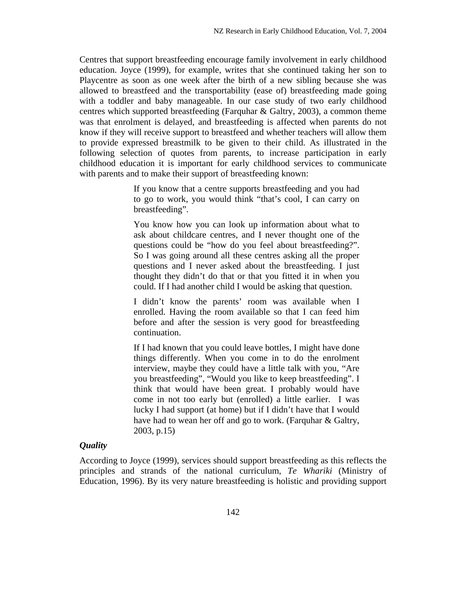Centres that support breastfeeding encourage family involvement in early childhood education. Joyce (1999), for example, writes that she continued taking her son to Playcentre as soon as one week after the birth of a new sibling because she was allowed to breastfeed and the transportability (ease of) breastfeeding made going with a toddler and baby manageable. In our case study of two early childhood centres which supported breastfeeding (Farquhar & Galtry, 2003), a common theme was that enrolment is delayed, and breastfeeding is affected when parents do not know if they will receive support to breastfeed and whether teachers will allow them to provide expressed breastmilk to be given to their child. As illustrated in the following selection of quotes from parents, to increase participation in early childhood education it is important for early childhood services to communicate with parents and to make their support of breastfeeding known:

> If you know that a centre supports breastfeeding and you had to go to work, you would think "that's cool, I can carry on breastfeeding".

> You know how you can look up information about what to ask about childcare centres, and I never thought one of the questions could be "how do you feel about breastfeeding?". So I was going around all these centres asking all the proper questions and I never asked about the breastfeeding. I just thought they didn't do that or that you fitted it in when you could. If I had another child I would be asking that question.

> I didn't know the parents' room was available when I enrolled. Having the room available so that I can feed him before and after the session is very good for breastfeeding continuation.

> If I had known that you could leave bottles, I might have done things differently. When you come in to do the enrolment interview, maybe they could have a little talk with you, "Are you breastfeeding", "Would you like to keep breastfeeding". I think that would have been great. I probably would have come in not too early but (enrolled) a little earlier. I was lucky I had support (at home) but if I didn't have that I would have had to wean her off and go to work. (Farquhar & Galtry, 2003, p.15)

#### *Quality*

According to Joyce (1999), services should support breastfeeding as this reflects the principles and strands of the national curriculum, *Te Whariki* (Ministry of Education, 1996). By its very nature breastfeeding is holistic and providing support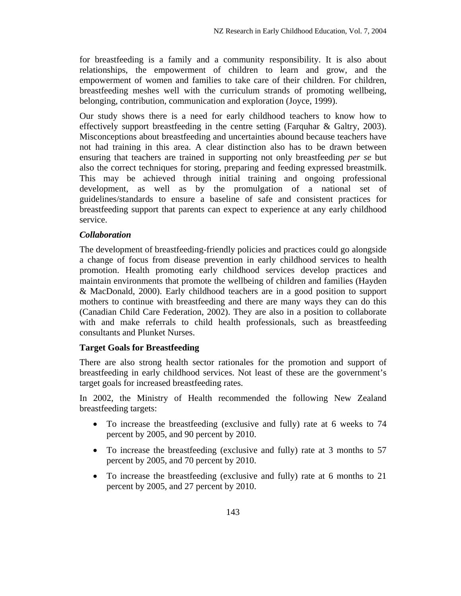for breastfeeding is a family and a community responsibility. It is also about relationships, the empowerment of children to learn and grow, and the empowerment of women and families to take care of their children. For children, breastfeeding meshes well with the curriculum strands of promoting wellbeing, belonging, contribution, communication and exploration (Joyce, 1999).

Our study shows there is a need for early childhood teachers to know how to effectively support breastfeeding in the centre setting (Farquhar & Galtry, 2003). Misconceptions about breastfeeding and uncertainties abound because teachers have not had training in this area. A clear distinction also has to be drawn between ensuring that teachers are trained in supporting not only breastfeeding *per se* but also the correct techniques for storing, preparing and feeding expressed breastmilk. This may be achieved through initial training and ongoing professional development, as well as by the promulgation of a national set of guidelines/standards to ensure a baseline of safe and consistent practices for breastfeeding support that parents can expect to experience at any early childhood service.

#### *Collaboration*

The development of breastfeeding-friendly policies and practices could go alongside a change of focus from disease prevention in early childhood services to health promotion. Health promoting early childhood services develop practices and maintain environments that promote the wellbeing of children and families (Hayden & MacDonald, 2000). Early childhood teachers are in a good position to support mothers to continue with breastfeeding and there are many ways they can do this (Canadian Child Care Federation, 2002). They are also in a position to collaborate with and make referrals to child health professionals, such as breastfeeding consultants and Plunket Nurses.

# **Target Goals for Breastfeeding**

There are also strong health sector rationales for the promotion and support of breastfeeding in early childhood services. Not least of these are the government's target goals for increased breastfeeding rates.

In 2002, the Ministry of Health recommended the following New Zealand breastfeeding targets:

- To increase the breastfeeding (exclusive and fully) rate at 6 weeks to 74 percent by 2005, and 90 percent by 2010.
- To increase the breastfeeding (exclusive and fully) rate at 3 months to 57 percent by 2005, and 70 percent by 2010.
- To increase the breastfeeding (exclusive and fully) rate at 6 months to 21 percent by 2005, and 27 percent by 2010.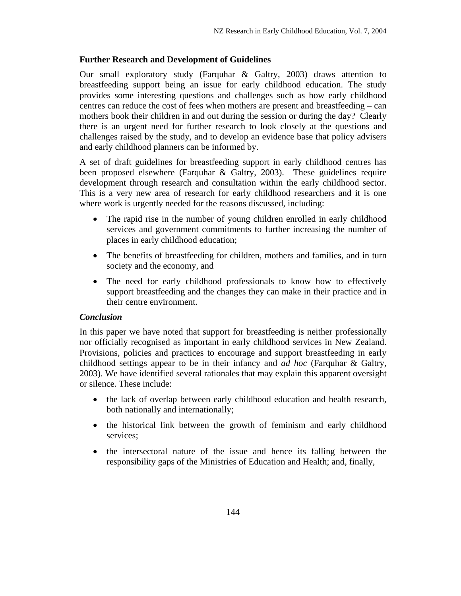#### **Further Research and Development of Guidelines**

Our small exploratory study (Farquhar & Galtry, 2003) draws attention to breastfeeding support being an issue for early childhood education. The study provides some interesting questions and challenges such as how early childhood centres can reduce the cost of fees when mothers are present and breastfeeding – can mothers book their children in and out during the session or during the day? Clearly there is an urgent need for further research to look closely at the questions and challenges raised by the study, and to develop an evidence base that policy advisers and early childhood planners can be informed by.

A set of draft guidelines for breastfeeding support in early childhood centres has been proposed elsewhere (Farquhar & Galtry, 2003). These guidelines require development through research and consultation within the early childhood sector. This is a very new area of research for early childhood researchers and it is one where work is urgently needed for the reasons discussed, including:

- The rapid rise in the number of young children enrolled in early childhood services and government commitments to further increasing the number of places in early childhood education;
- The benefits of breastfeeding for children, mothers and families, and in turn society and the economy, and
- The need for early childhood professionals to know how to effectively support breastfeeding and the changes they can make in their practice and in their centre environment.

#### *Conclusion*

In this paper we have noted that support for breastfeeding is neither professionally nor officially recognised as important in early childhood services in New Zealand. Provisions, policies and practices to encourage and support breastfeeding in early childhood settings appear to be in their infancy and *ad hoc* (Farquhar & Galtry, 2003). We have identified several rationales that may explain this apparent oversight or silence. These include:

- the lack of overlap between early childhood education and health research, both nationally and internationally;
- the historical link between the growth of feminism and early childhood services;
- the intersectoral nature of the issue and hence its falling between the responsibility gaps of the Ministries of Education and Health; and, finally,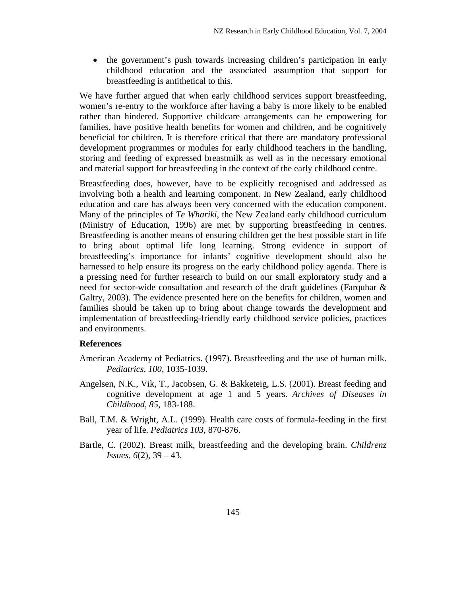• the government's push towards increasing children's participation in early childhood education and the associated assumption that support for breastfeeding is antithetical to this.

We have further argued that when early childhood services support breastfeeding, women's re-entry to the workforce after having a baby is more likely to be enabled rather than hindered. Supportive childcare arrangements can be empowering for families, have positive health benefits for women and children, and be cognitively beneficial for children. It is therefore critical that there are mandatory professional development programmes or modules for early childhood teachers in the handling, storing and feeding of expressed breastmilk as well as in the necessary emotional and material support for breastfeeding in the context of the early childhood centre.

Breastfeeding does, however, have to be explicitly recognised and addressed as involving both a health and learning component. In New Zealand, early childhood education and care has always been very concerned with the education component. Many of the principles of *Te Whariki,* the New Zealand early childhood curriculum (Ministry of Education, 1996) are met by supporting breastfeeding in centres. Breastfeeding is another means of ensuring children get the best possible start in life to bring about optimal life long learning. Strong evidence in support of breastfeeding's importance for infants' cognitive development should also be harnessed to help ensure its progress on the early childhood policy agenda. There is a pressing need for further research to build on our small exploratory study and a need for sector-wide consultation and research of the draft guidelines (Farquhar & Galtry, 2003). The evidence presented here on the benefits for children, women and families should be taken up to bring about change towards the development and implementation of breastfeeding-friendly early childhood service policies, practices and environments.

#### **References**

- American Academy of Pediatrics. (1997). Breastfeeding and the use of human milk. *Pediatrics, 100*, 1035-1039.
- Angelsen, N.K., Vik, T., Jacobsen, G. & Bakketeig, L.S. (2001). Breast feeding and cognitive development at age 1 and 5 years. *Archives of Diseases in Childhood, 85,* 183-188.
- Ball, T.M. & Wright, A.L. (1999). Health care costs of formula-feeding in the first year of life. *Pediatrics 103,* 870-876.
- Bartle, C. (2002). Breast milk, breastfeeding and the developing brain. *Childrenz Issues, 6*(2), 39 – 43.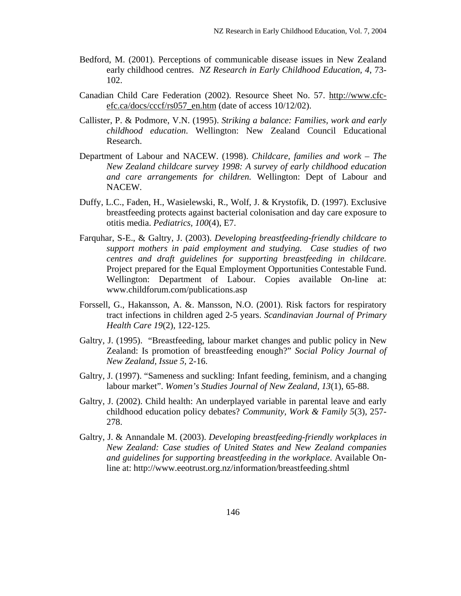- Bedford, M. (2001). Perceptions of communicable disease issues in New Zealand early childhood centres. *NZ Research in Early Childhood Education, 4*, 73- 102.
- Canadian Child Care Federation (2002). Resource Sheet No. 57. http://www.cfcefc.ca/docs/cccf/rs057\_en.htm (date of access 10/12/02).
- Callister, P. & Podmore, V.N. (1995). *Striking a balance: Families, work and early childhood education*. Wellington: New Zealand Council Educational Research.
- Department of Labour and NACEW. (1998). *Childcare, families and work The New Zealand childcare survey 1998: A survey of early childhood education and care arrangements for children.* Wellington: Dept of Labour and NACEW.
- Duffy, L.C., Faden, H., Wasielewski, R., Wolf, J. & Krystofik, D. (1997). Exclusive breastfeeding protects against bacterial colonisation and day care exposure to otitis media. *Pediatrics, 100*(4), E7.
- Farquhar, S-E., & Galtry, J. (2003). *Developing breastfeeding-friendly childcare to support mothers in paid employment and studying. Case studies of two centres and draft guidelines for supporting breastfeeding in childcare.* Project prepared for the Equal Employment Opportunities Contestable Fund. Wellington: Department of Labour. Copies available On-line at: www.childforum.com/publications.asp
- Forssell, G., Hakansson, A. &. Mansson, N.O. (2001). Risk factors for respiratory tract infections in children aged 2-5 years. *Scandinavian Journal of Primary Health Care 19*(2), 122-125.
- Galtry, J. (1995). "Breastfeeding, labour market changes and public policy in New Zealand: Is promotion of breastfeeding enough?" *Social Policy Journal of New Zealand, Issue 5,* 2-16.
- Galtry, J. (1997). "Sameness and suckling: Infant feeding, feminism, and a changing labour market". *Women's Studies Journal of New Zealand, 13*(1), 65-88.
- Galtry, J. (2002). Child health: An underplayed variable in parental leave and early childhood education policy debates? *Community, Work & Family 5*(3), 257- 278.
- Galtry, J. & Annandale M. (2003). *Developing breastfeeding-friendly workplaces in New Zealand: Case studies of United States and New Zealand companies and guidelines for supporting breastfeeding in the workplace*. Available Online at: http://www.eeotrust.org.nz/information/breastfeeding.shtml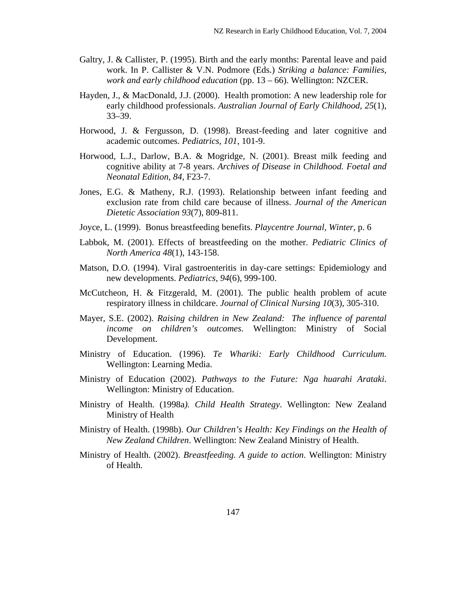- Galtry, J. & Callister, P. (1995). Birth and the early months: Parental leave and paid work. In P. Callister & V.N. Podmore (Eds.) *Striking a balance: Families, work and early childhood education* (pp. 13 – 66). Wellington: NZCER.
- Hayden, J., & MacDonald, J.J. (2000). Health promotion: A new leadership role for early childhood professionals. *Australian Journal of Early Childhood, 25*(1), 33–39.
- Horwood, J. & Fergusson, D. (1998). Breast-feeding and later cognitive and academic outcomes. *Pediatrics*, *101*, 101-9.
- Horwood, L.J., Darlow, B.A. & Mogridge, N. (2001). Breast milk feeding and cognitive ability at 7-8 years. *Archives of Disease in Childhood. Foetal and Neonatal Edition, 84*, F23-7.
- Jones, E.G. & Matheny, R.J. (1993). Relationship between infant feeding and exclusion rate from child care because of illness. *Journal of the American Dietetic Association 93*(7), 809-811.
- Joyce, L. (1999). Bonus breastfeeding benefits. *Playcentre Journal, Winter*, p. 6
- Labbok, M. (2001). Effects of breastfeeding on the mother. *Pediatric Clinics of North America 48*(1), 143-158.
- Matson, D.O. (1994). Viral gastroenteritis in day-care settings: Epidemiology and new developments. *Pediatrics, 94*(6), 999-100.
- McCutcheon, H. & Fitzgerald, M. (2001). The public health problem of acute respiratory illness in childcare. *Journal of Clinical Nursing 10*(3), 305-310.
- Mayer, S.E. (2002). *Raising children in New Zealand: The influence of parental income on children's outcomes*. Wellington: Ministry of Social Development.
- Ministry of Education. (1996). *Te Whariki: Early Childhood Curriculum*. Wellington: Learning Media.
- Ministry of Education (2002). *Pathways to the Future: Nga huarahi Arataki*. Wellington: Ministry of Education.
- Ministry of Health. (1998a*). Child Health Strategy*. Wellington: New Zealand Ministry of Health
- Ministry of Health. (1998b). *Our Children's Health: Key Findings on the Health of New Zealand Children*. Wellington: New Zealand Ministry of Health.
- Ministry of Health. (2002). *Breastfeeding. A guide to action*. Wellington: Ministry of Health.